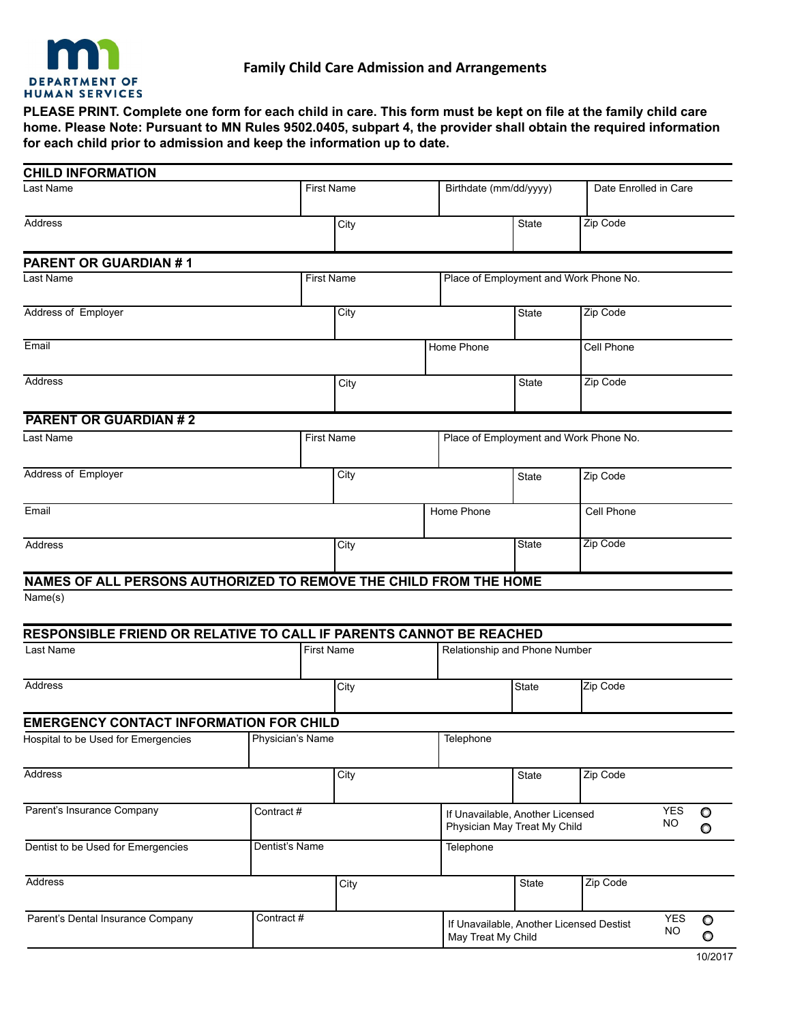

**PLEASE PRINT. Complete one form for each child in care. This form must be kept on file at the family child care home. Please Note: Pursuant to MN Rules 9502.0405, subpart 4, the provider shall obtain the required information for each child prior to admission and keep the information up to date.**

| <b>CHILD INFORMATION</b>                                                                                                                                         |                   |                   |            |                        |                                        |                                                                  |                                          |                         |                    |
|------------------------------------------------------------------------------------------------------------------------------------------------------------------|-------------------|-------------------|------------|------------------------|----------------------------------------|------------------------------------------------------------------|------------------------------------------|-------------------------|--------------------|
| Last Name<br><b>First Name</b>                                                                                                                                   |                   |                   |            | Birthdate (mm/dd/yyyy) |                                        | Date Enrolled in Care                                            |                                          |                         |                    |
| Address                                                                                                                                                          |                   | City              |            |                        | <b>State</b>                           | Zip Code                                                         |                                          |                         |                    |
| <b>PARENT OR GUARDIAN #1</b>                                                                                                                                     |                   |                   |            |                        |                                        |                                                                  |                                          |                         |                    |
| Last Name                                                                                                                                                        | <b>First Name</b> |                   |            |                        |                                        | Place of Employment and Work Phone No.                           |                                          |                         |                    |
| Address of Employer                                                                                                                                              |                   | City              |            | <b>State</b>           | Zip Code                               |                                                                  |                                          |                         |                    |
| Email                                                                                                                                                            |                   |                   | Home Phone |                        |                                        | Cell Phone                                                       |                                          |                         |                    |
| Address                                                                                                                                                          |                   |                   | City       |                        | State                                  | Zip Code                                                         |                                          |                         |                    |
| <b>PARENT OR GUARDIAN #2</b>                                                                                                                                     |                   |                   |            |                        |                                        |                                                                  |                                          |                         |                    |
| Last Name<br><b>First Name</b>                                                                                                                                   |                   |                   |            |                        | Place of Employment and Work Phone No. |                                                                  |                                          |                         |                    |
| Address of Employer                                                                                                                                              |                   | City              |            | <b>State</b>           | Zip Code                               |                                                                  |                                          |                         |                    |
| Email                                                                                                                                                            |                   |                   |            | Home Phone             |                                        | Cell Phone                                                       |                                          |                         |                    |
| Address                                                                                                                                                          |                   |                   | City       |                        | <b>State</b>                           | Zip Code                                                         |                                          |                         |                    |
| NAMES OF ALL PERSONS AUTHORIZED TO REMOVE THE CHILD FROM THE HOME<br>Name(s)<br>RESPONSIBLE FRIEND OR RELATIVE TO CALL IF PARENTS CANNOT BE REACHED<br>Last Name |                   | <b>First Name</b> |            |                        |                                        |                                                                  |                                          |                         |                    |
|                                                                                                                                                                  |                   |                   |            |                        | Relationship and Phone Number          |                                                                  |                                          |                         |                    |
| Address                                                                                                                                                          |                   |                   | City       |                        |                                        | State                                                            | Zip Code                                 |                         |                    |
| <b>EMERGENCY CONTACT INFORMATION FOR CHILD</b>                                                                                                                   |                   |                   |            |                        |                                        |                                                                  |                                          |                         |                    |
| Hospital to be Used for Emergencies                                                                                                                              | Physician's Name  |                   |            |                        | Telephone                              |                                                                  |                                          |                         |                    |
| <b>Address</b>                                                                                                                                                   |                   |                   | City       |                        |                                        | State                                                            | Zip Code                                 |                         |                    |
| Parent's Insurance Company                                                                                                                                       | Contract #        |                   |            |                        |                                        | If Unavailable, Another Licensed<br>Physician May Treat My Child |                                          | <b>YES</b><br><b>NO</b> | $\circ$<br>O       |
| Dentist to be Used for Emergencies                                                                                                                               | Dentist's Name    |                   |            |                        | Telephone                              |                                                                  |                                          |                         |                    |
| Address                                                                                                                                                          |                   |                   | City       |                        |                                        | State                                                            | Zip Code                                 |                         |                    |
| Parent's Dental Insurance Company                                                                                                                                | Contract #        |                   |            |                        | May Treat My Child                     |                                                                  | If Unavailable, Another Licensed Destist | <b>YES</b><br><b>NO</b> | $\circ$<br>$\circ$ |